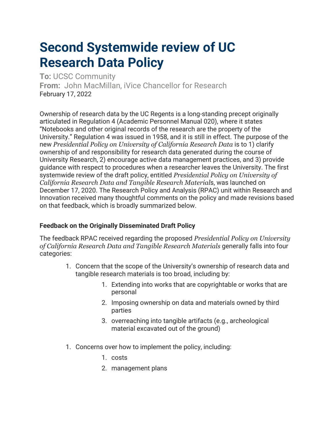## **Second Systemwide review of UC Research Data Policy**

**To:** UCSC Community **From:** John MacMillan, iVice Chancellor for Research February 17, 2022

Ownership of research data by the UC Regents is a long-standing precept originally articulated in Regulation 4 (Academic Personnel Manual 020), where it states "Notebooks and other original records of the research are the property of the University." Regulation 4 was issued in 1958, and it is still in effect. The purpose of the new *Presidential Policy on University of California Research Data* is to 1) clarify ownership of and responsibility for research data generated during the course of University Research, 2) encourage active data management practices, and 3) provide guidance with respect to procedures when a researcher leaves the University. The first systemwide review of the draft policy, entitled *Presidential Policy on University of California Research Data and Tangible Research Material*s, was launched on December 17, 2020. The Research Policy and Analysis (RPAC) unit within Research and Innovation received many thoughtful comments on the policy and made revisions based on that feedback, which is broadly summarized below.

## **Feedback on the Originally Disseminated Draft Policy**

The feedback RPAC received regarding the proposed *Presidential Policy on University of California Research Data and Tangible Research Materials* generally falls into four categories:

- 1. Concern that the scope of the University's ownership of research data and tangible research materials is too broad, including by:
	- 1. Extending into works that are copyrightable or works that are personal
	- 2. Imposing ownership on data and materials owned by third parties
	- 3. overreaching into tangible artifacts (e.g., archeological material excavated out of the ground)
- 1. Concerns over how to implement the policy, including:
	- 1. costs
	- 2. management plans